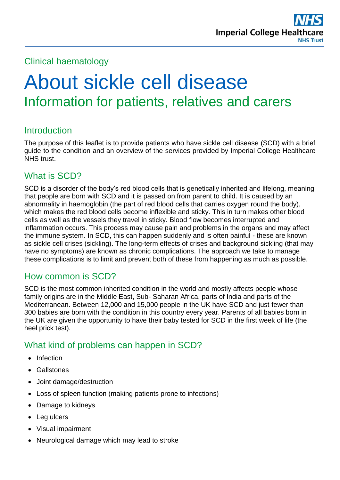

#### Clinical haematology

# About sickle cell disease Information for patients, relatives and carers

#### **Introduction**

The purpose of this leaflet is to provide patients who have sickle cell disease (SCD) with a brief guide to the condition and an overview of the services provided by Imperial College Healthcare NHS trust.

#### What is SCD?

SCD is a disorder of the body's red blood cells that is genetically inherited and lifelong, meaning that people are born with SCD and it is passed on from parent to child. It is caused by an abnormality in haemoglobin (the part of red blood cells that carries oxygen round the body), which makes the red blood cells become inflexible and sticky. This in turn makes other blood cells as well as the vessels they travel in sticky. Blood flow becomes interrupted and inflammation occurs. This process may cause pain and problems in the organs and may affect the immune system. In SCD, this can happen suddenly and is often painful - these are known as sickle cell crises (sickling). The long-term effects of crises and background sickling (that may have no symptoms) are known as chronic complications. The approach we take to manage these complications is to limit and prevent both of these from happening as much as possible.

#### How common is SCD?

SCD is the most common inherited condition in the world and mostly affects people whose family origins are in the Middle East, Sub- Saharan Africa, parts of India and parts of the Mediterranean. Between 12,000 and 15,000 people in the UK have SCD and just fewer than 300 babies are born with the condition in this country every year. Parents of all babies born in the UK are given the opportunity to have their baby tested for SCD in the first week of life (the heel prick test).

#### What kind of problems can happen in SCD?

- Infection
- Gallstones
- Joint damage/destruction
- Loss of spleen function (making patients prone to infections)
- Damage to kidneys
- Leg ulcers
- Visual impairment
- Neurological damage which may lead to stroke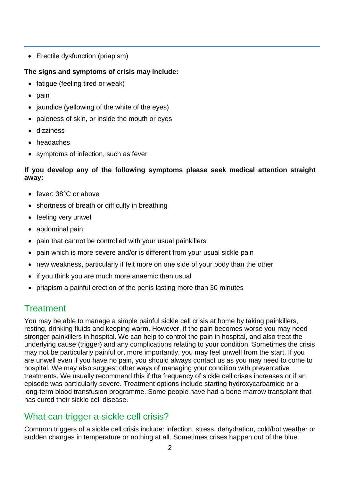• Erectile dysfunction (priapism)

#### **The signs and symptoms of crisis may include:**

- fatigue (feeling tired or weak)
- $\bullet$  pain
- $\bullet$  jaundice (yellowing of the white of the eyes)
- paleness of skin, or inside the mouth or eyes
- dizziness
- headaches
- symptoms of infection, such as fever

#### **If you develop any of the following symptoms please seek medical attention straight away:**

- fever: 38°C or above
- shortness of breath or difficulty in breathing
- feeling very unwell
- abdominal pain
- pain that cannot be controlled with your usual painkillers
- pain which is more severe and/or is different from your usual sickle pain
- new weakness, particularly if felt more on one side of your body than the other
- if you think you are much more anaemic than usual
- priapism a painful erection of the penis lasting more than 30 minutes

# **Treatment**

You may be able to manage a simple painful sickle cell crisis at home by taking painkillers, resting, drinking fluids and keeping warm. However, if the pain becomes worse you may need stronger painkillers in hospital. We can help to control the pain in hospital, and also treat the underlying cause (trigger) and any complications relating to your condition. Sometimes the crisis may not be particularly painful or, more importantly, you may feel unwell from the start. If you are unwell even if you have no pain, you should always contact us as you may need to come to hospital. We may also suggest other ways of managing your condition with preventative treatments. We usually recommend this if the frequency of sickle cell crises increases or if an episode was particularly severe. Treatment options include starting hydroxycarbamide or a long-term blood transfusion programme. Some people have had a bone marrow transplant that has cured their sickle cell disease.

# What can trigger a sickle cell crisis?

Common triggers of a sickle cell crisis include: infection, stress, dehydration, cold/hot weather or sudden changes in temperature or nothing at all. Sometimes crises happen out of the blue.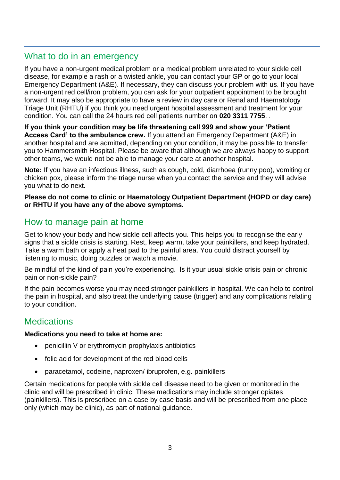#### What to do in an emergency

If you have a non-urgent medical problem or a medical problem unrelated to your sickle cell disease, for example a rash or a twisted ankle, you can contact your GP or go to your local Emergency Department (A&E). If necessary, they can discuss your problem with us. If you have a non-urgent red cell/iron problem, you can ask for your outpatient appointment to be brought forward. It may also be appropriate to have a review in day care or Renal and Haematology Triage Unit (RHTU) if you think you need urgent hospital assessment and treatment for your condition. You can call the 24 hours red cell patients number on **020 3311 7755**. .

**If you think your condition may be life threatening call 999 and show your 'Patient Access Card' to the ambulance crew.** If you attend an Emergency Department (A&E) in another hospital and are admitted, depending on your condition, it may be possible to transfer you to Hammersmith Hospital. Please be aware that although we are always happy to support other teams, we would not be able to manage your care at another hospital.

**Note:** If you have an infectious illness, such as cough, cold, diarrhoea (runny poo), vomiting or chicken pox, please inform the triage nurse when you contact the service and they will advise you what to do next.

**Please do not come to clinic or Haematology Outpatient Department (HOPD or day care) or RHTU if you have any of the above symptoms.**

#### How to manage pain at home

Get to know your body and how sickle cell affects you. This helps you to recognise the early signs that a sickle crisis is starting. Rest, keep warm, take your painkillers, and keep hydrated. Take a warm bath or apply a heat pad to the painful area. You could distract yourself by listening to music, doing puzzles or watch a movie.

Be mindful of the kind of pain you're experiencing. Is it your usual sickle crisis pain or chronic pain or non-sickle pain?

If the pain becomes worse you may need stronger painkillers in hospital. We can help to control the pain in hospital, and also treat the underlying cause (trigger) and any complications relating to your condition.

#### **Medications**

#### **Medications you need to take at home are:**

- penicillin V or erythromycin prophylaxis antibiotics
- folic acid for development of the red blood cells
- paracetamol, codeine, naproxen/ ibruprofen, e.g. painkillers

Certain medications for people with sickle cell disease need to be given or monitored in the clinic and will be prescribed in clinic. These medications may include stronger opiates (painkillers). This is prescribed on a case by case basis and will be prescribed from one place only (which may be clinic), as part of national guidance.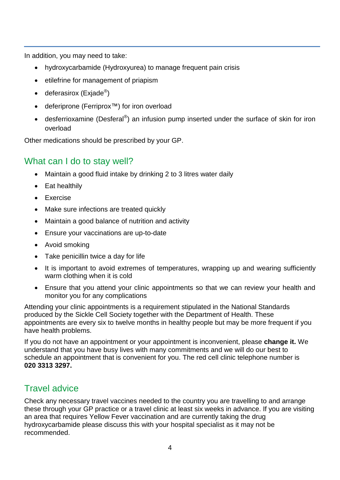In addition, you may need to take:

- hydroxycarbamide (Hydroxyurea) to manage frequent pain crisis
- etilefrine for management of priapism
- deferasirox (Exjade $^{\circledR}$ )
- deferiprone (Ferriprox<sup>™</sup>) for iron overload
- desferrioxamine (Desferal<sup>®</sup>) an infusion pump inserted under the surface of skin for iron overload

Other medications should be prescribed by your GP.

#### What can I do to stay well?

- Maintain a good fluid intake by drinking 2 to 3 litres water daily
- Eat healthily
- Exercise
- Make sure infections are treated quickly
- Maintain a good balance of nutrition and activity
- Ensure your vaccinations are up-to-date
- Avoid smoking
- Take penicillin twice a day for life
- It is important to avoid extremes of temperatures, wrapping up and wearing sufficiently warm clothing when it is cold
- Ensure that you attend your clinic appointments so that we can review your health and monitor you for any complications

Attending your clinic appointments is a requirement stipulated in the National Standards produced by the Sickle Cell Society together with the Department of Health. These appointments are every six to twelve months in healthy people but may be more frequent if you have health problems.

If you do not have an appointment or your appointment is inconvenient, please **change it.** We understand that you have busy lives with many commitments and we will do our best to schedule an appointment that is convenient for you. The red cell clinic telephone number is **020 3313 3297.**

## Travel advice

Check any necessary travel vaccines needed to the country you are travelling to and arrange these through your GP practice or a travel clinic at least six weeks in advance. If you are visiting an area that requires Yellow Fever vaccination and are currently taking the drug hydroxycarbamide please discuss this with your hospital specialist as it may not be recommended.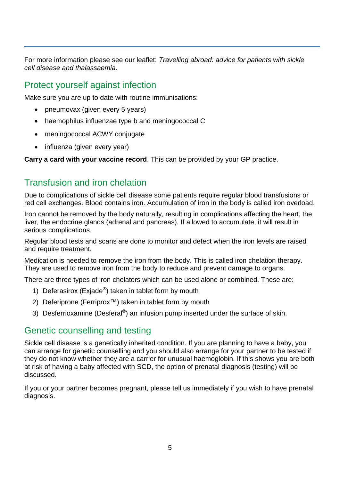For more information please see our leaflet: *Travelling abroad: advice for patients with sickle cell disease and thalassaemia*.

#### Protect yourself against infection

Make sure you are up to date with routine immunisations:

- pneumovax (given every 5 years)
- haemophilus influenzae type b and meningococcal C
- meningococcal ACWY conjugate
- influenza (given every year)

**Carry a card with your vaccine record**. This can be provided by your GP practice.

#### Transfusion and iron chelation

Due to complications of sickle cell disease some patients require regular blood transfusions or red cell exchanges. Blood contains iron. Accumulation of iron in the body is called iron overload.

Iron cannot be removed by the body naturally, resulting in complications affecting the heart, the liver, the endocrine glands (adrenal and pancreas). If allowed to accumulate, it will result in serious complications.

Regular blood tests and scans are done to monitor and detect when the iron levels are raised and require treatment.

Medication is needed to remove the iron from the body. This is called iron chelation therapy. They are used to remove iron from the body to reduce and prevent damage to organs.

There are three types of iron chelators which can be used alone or combined. These are:

- 1) Deferasirox (Exjade<sup>®</sup>) taken in tablet form by mouth
- 2) Deferiprone (Ferriprox™) taken in tablet form by mouth
- 3) Desferrioxamine (Desferal $^{\circledR}$ ) an infusion pump inserted under the surface of skin.

#### Genetic counselling and testing

Sickle cell disease is a genetically inherited condition. If you are planning to have a baby, you can arrange for genetic counselling and you should also arrange for your partner to be tested if they do not know whether they are a carrier for unusual haemoglobin. If this shows you are both at risk of having a baby affected with SCD, the option of prenatal diagnosis (testing) will be discussed.

If you or your partner becomes pregnant, please tell us immediately if you wish to have prenatal diagnosis.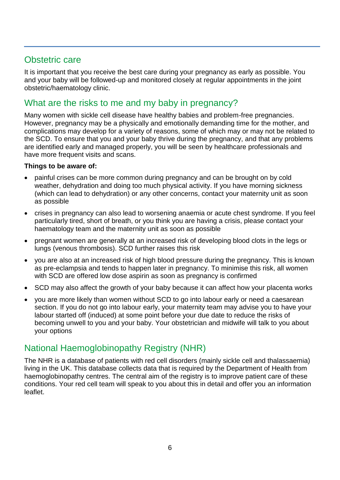#### Obstetric care

It is important that you receive the best care during your pregnancy as early as possible. You and your baby will be followed-up and monitored closely at regular appointments in the joint obstetric/haematology clinic.

### What are the risks to me and my baby in pregnancy?

Many women with sickle cell disease have healthy babies and problem-free pregnancies. However, pregnancy may be a physically and emotionally demanding time for the mother, and complications may develop for a variety of reasons, some of which may or may not be related to the SCD. To ensure that you and your baby thrive during the pregnancy, and that any problems are identified early and managed properly, you will be seen by healthcare professionals and have more frequent visits and scans.

#### **Things to be aware of:**

- painful crises can be more common during pregnancy and can be brought on by cold weather, dehydration and doing too much physical activity. If you have morning sickness (which can lead to dehydration) or any other concerns, contact your maternity unit as soon as possible
- crises in pregnancy can also lead to worsening anaemia or acute chest syndrome. If you feel particularly tired, short of breath, or you think you are having a crisis, please contact your haematology team and the maternity unit as soon as possible
- pregnant women are generally at an increased risk of developing blood clots in the legs or lungs (venous thrombosis). SCD further raises this risk
- you are also at an increased risk of high blood pressure during the pregnancy. This is known as pre-eclampsia and tends to happen later in pregnancy. To minimise this risk, all women with SCD are offered low dose aspirin as soon as pregnancy is confirmed
- SCD may also affect the growth of your baby because it can affect how your placenta works
- you are more likely than women without SCD to go into labour early or need a caesarean section. If you do not go into labour early, your maternity team may advise you to have your labour started off (induced) at some point before your due date to reduce the risks of becoming unwell to you and your baby. Your obstetrician and midwife will talk to you about your options

#### National Haemoglobinopathy Registry (NHR)

The NHR is a database of patients with red cell disorders (mainly sickle cell and thalassaemia) living in the UK. This database collects data that is required by the Department of Health from haemoglobinopathy centres. The central aim of the registry is to improve patient care of these conditions. Your red cell team will speak to you about this in detail and offer you an information leaflet.